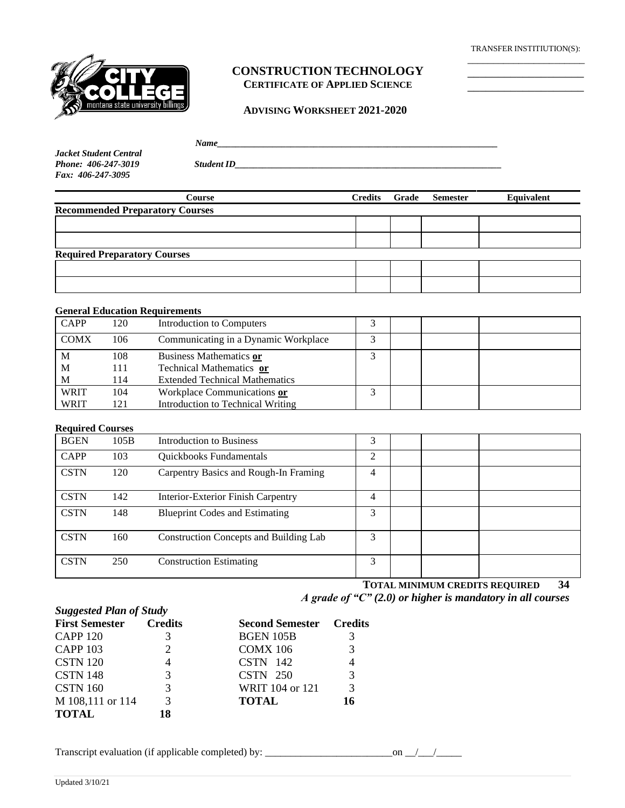TRANSFER INSTITIUTION(S): \_\_\_\_\_\_\_\_\_\_\_\_\_\_\_\_\_\_\_\_\_\_\_

\_\_\_\_\_\_\_\_\_\_\_\_\_\_\_\_\_\_\_



# **CONSTRUCTION TECHNOLOGY CERTIFICATE OF APPLIED SCIENCE**

#### **ADVISING WORKSHEET 2021-2020**

|                        | Name              |  |
|------------------------|-------------------|--|
| Jacket Student Central |                   |  |
| Phone: 406-247-3019    | <b>Student ID</b> |  |

*Jacket Student Central Phone: 406-247-3019 Fax: 406-247-3095*

| Course                                 | <b>Credits</b> | Grade | <b>Semester</b> | Equivalent |
|----------------------------------------|----------------|-------|-----------------|------------|
| <b>Recommended Preparatory Courses</b> |                |       |                 |            |
|                                        |                |       |                 |            |
|                                        |                |       |                 |            |
| <b>Required Preparatory Courses</b>    |                |       |                 |            |
|                                        |                |       |                 |            |
|                                        |                |       |                 |            |

### **General Education Requirements**

| <b>CAPP</b> | 120 | Introduction to Computers             |  |  |
|-------------|-----|---------------------------------------|--|--|
| <b>COMX</b> | 106 | Communicating in a Dynamic Workplace  |  |  |
| M           | 108 | Business Mathematics or               |  |  |
| M           | 111 | Technical Mathematics or              |  |  |
| M           | 114 | <b>Extended Technical Mathematics</b> |  |  |
| <b>WRIT</b> | 104 | Workplace Communications or           |  |  |
| <b>WRIT</b> | 121 | Introduction to Technical Writing     |  |  |

## **Required Courses**

| <b>BGEN</b> | 105B | <b>Introduction to Business</b>               | 3 |  |  |
|-------------|------|-----------------------------------------------|---|--|--|
| <b>CAPP</b> | 103  | Quickbooks Fundamentals                       | ↑ |  |  |
| <b>CSTN</b> | 120  | Carpentry Basics and Rough-In Framing         | 4 |  |  |
| <b>CSTN</b> | 142  | Interior-Exterior Finish Carpentry            | 4 |  |  |
| <b>CSTN</b> | 148  | <b>Blueprint Codes and Estimating</b>         | 3 |  |  |
| <b>CSTN</b> | 160  | <b>Construction Concepts and Building Lab</b> | 3 |  |  |
| <b>CSTN</b> | 250  | <b>Construction Estimating</b>                | 3 |  |  |

**TOTAL MINIMUM CREDITS REQUIRED 34** *A grade of "C" (2.0) or higher is mandatory in all courses*

| <b>Suggested Plan of Study</b> |   |                                |    |  |  |
|--------------------------------|---|--------------------------------|----|--|--|
| <b>First Semester Credits</b>  |   | <b>Second Semester</b> Credits |    |  |  |
| <b>CAPP 120</b>                |   | <b>BGEN 105B</b>               | 3  |  |  |
| <b>CAPP 103</b>                |   | <b>COMX 106</b>                | 3  |  |  |
| <b>CSTN 120</b>                |   | CSTN 142                       | 4  |  |  |
| <b>CSTN 148</b>                | 3 | $CSTN$ 250                     | 3  |  |  |
| <b>CSTN 160</b>                | 3 | WRIT 104 or 121                | 3  |  |  |
| M 108,111 or 114               | 3 | <b>TOTAL</b>                   | 16 |  |  |
| <b>TOTAL</b>                   |   |                                |    |  |  |

| Transcript evaluation (if applicable completed) by: |  |
|-----------------------------------------------------|--|
|                                                     |  |
|                                                     |  |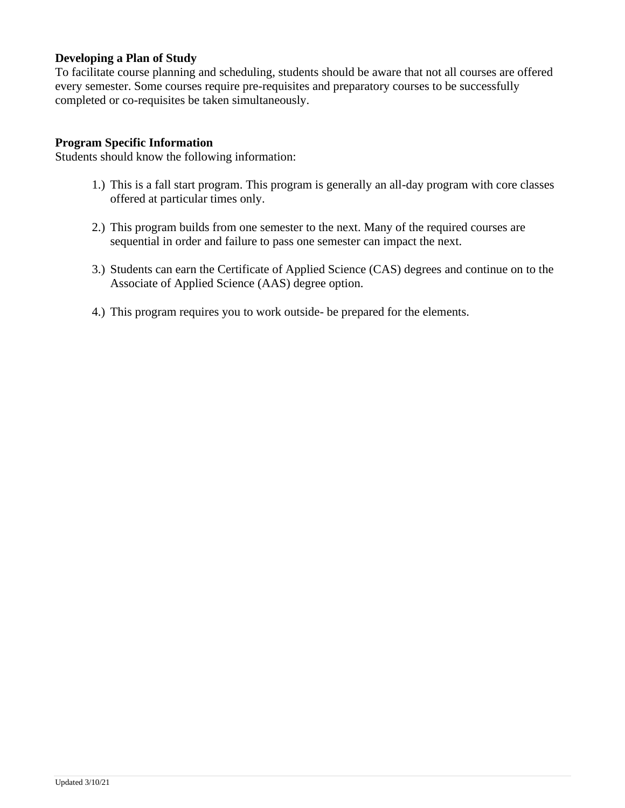# **Developing a Plan of Study**

To facilitate course planning and scheduling, students should be aware that not all courses are offered every semester. Some courses require pre-requisites and preparatory courses to be successfully completed or co-requisites be taken simultaneously.

## **Program Specific Information**

Students should know the following information:

- 1.) This is a fall start program. This program is generally an all-day program with core classes offered at particular times only.
- 2.) This program builds from one semester to the next. Many of the required courses are sequential in order and failure to pass one semester can impact the next.
- 3.) Students can earn the Certificate of Applied Science (CAS) degrees and continue on to the Associate of Applied Science (AAS) degree option.
- 4.) This program requires you to work outside- be prepared for the elements.